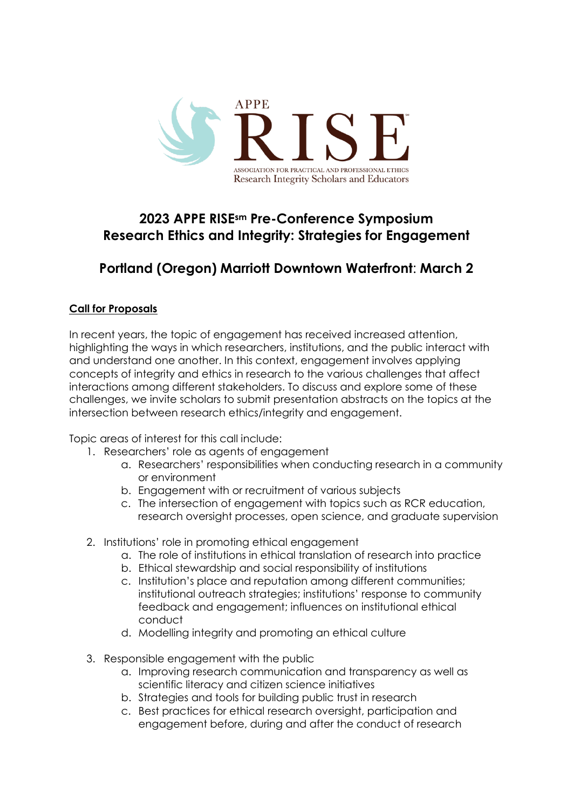

## **2023 APPE RISEsm Pre-Conference Symposium Research Ethics and Integrity: Strategies for Engagement**

# **Portland (Oregon) Marriott Downtown Waterfront**: **March 2**

## **Call for Proposals**

In recent years, the topic of engagement has received increased attention, highlighting the ways in which researchers, institutions, and the public interact with and understand one another. In this context, engagement involves applying concepts of integrity and ethics in research to the various challenges that affect interactions among different stakeholders. To discuss and explore some of these challenges, we invite scholars to submit presentation abstracts on the topics at the intersection between research ethics/integrity and engagement.

Topic areas of interest for this call include:

- 1. Researchers' role as agents of engagement
	- a. Researchers' responsibilities when conducting research in a community or environment
	- b. Engagement with or recruitment of various subjects
	- c. The intersection of engagement with topics such as RCR education, research oversight processes, open science, and graduate supervision
- 2. Institutions' role in promoting ethical engagement
	- a. The role of institutions in ethical translation of research into practice
	- b. Ethical stewardship and social responsibility of institutions
	- c. Institution's place and reputation among different communities; institutional outreach strategies; institutions' response to community feedback and engagement; influences on institutional ethical conduct
	- d. Modelling integrity and promoting an ethical culture
- 3. Responsible engagement with the public
	- a. Improving research communication and transparency as well as scientific literacy and citizen science initiatives
	- b. Strategies and tools for building public trust in research
	- c. Best practices for ethical research oversight, participation and engagement before, during and after the conduct of research